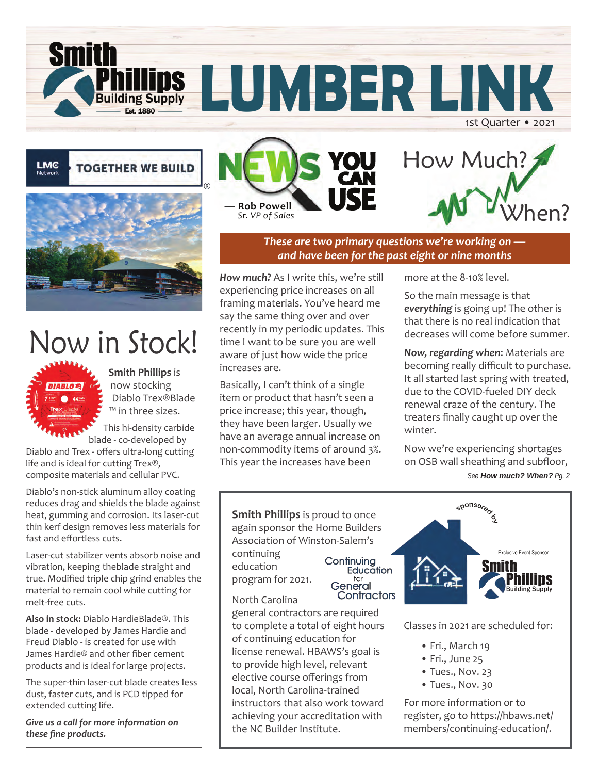**TOGETHER WE BUILD** 

**Building Supply Fet 1880** 

**Smith** 

LMC



# Now in Stock!

44100

**Smith Phillips** is now stocking Diablo Trex®Blade ™ in three sizes.

This hi-density carbide blade - co-developed by

Diablo and Trex - offers ultra-long cutting life and is ideal for cutting Trex®, composite materials and cellular PVC.

Diablo's non-stick aluminum alloy coating reduces drag and shields the blade against heat, gumming and corrosion. Its laser-cut thin kerf design removes less materials for fast and effortless cuts.

Laser-cut stabilizer vents absorb noise and vibration, keeping theblade straight and true. Modified triple chip grind enables the material to remain cool while cutting for melt-free cuts.

**Also in stock:** Diablo HardieBlade®. This blade - developed by James Hardie and Freud Diablo - is created for use with James Hardie® and other fiber cement products and is ideal for large projects.

The super-thin laser-cut blade creates less dust, faster cuts, and is PCD tipped for extended cutting life.

*Give us a call for more information on these fine products.*





1st Quarter • 2021

*These are two primary questions we're working on and have been for the past eight or nine months*

**LUMBER LINK**

*How much?* As I write this, we're still experiencing price increases on all framing materials. You've heard me say the same thing over and over recently in my periodic updates. This time I want to be sure you are well aware of just how wide the price increases are.

Basically, I can't think of a single item or product that hasn't seen a price increase; this year, though, they have been larger. Usually we have an average annual increase on non-commodity items of around 3%. This year the increases have been

**Smith Phillips** is proud to once

Association of Winston-Salem's

Continuing

General

more at the 8-10% level.

So the main message is that *everything* is going up! The other is that there is no real indication that decreases will come before summer.

*Now, regarding when*: Materials are becoming really difficult to purchase. It all started last spring with treated, due to the COVID-fueled DIY deck renewal craze of the century. The treaters finally caught up over the winter.

Now we're experiencing shortages on OSB wall sheathing and subfloor, *See How much? When? Pg. 2*



Classes in 2021 are scheduled for:

- Fri., March 19
- Fri., June 25
- Tues., Nov. 23
- Tues., Nov. 30

For more information or to register, go to https://hbaws.net/ members/continuing-education/.

program for 2021. North Carolina

continuing education

general contractors are required to complete a total of eight hours of continuing education for license renewal. HBAWS's goal is to provide high level, relevant elective course offerings from local, North Carolina-trained instructors that also work toward achieving your accreditation with the NC Builder Institute.